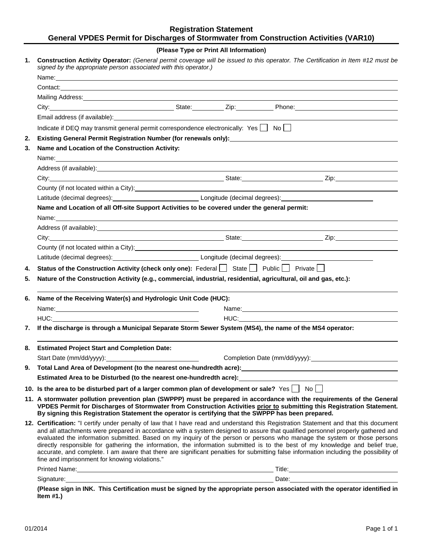# **Registration Statement**

**General VPDES Permit for Discharges of Stormwater from Construction Activities (VAR10)**

| 1.       |                                                                                                                                                                                                                                                                                                                                                                                                                                                                                                                                                                                                                                                                                                                                  | (Please Type or Print All Information)                                                                                                                                                              |      |  |  |
|----------|----------------------------------------------------------------------------------------------------------------------------------------------------------------------------------------------------------------------------------------------------------------------------------------------------------------------------------------------------------------------------------------------------------------------------------------------------------------------------------------------------------------------------------------------------------------------------------------------------------------------------------------------------------------------------------------------------------------------------------|-----------------------------------------------------------------------------------------------------------------------------------------------------------------------------------------------------|------|--|--|
|          |                                                                                                                                                                                                                                                                                                                                                                                                                                                                                                                                                                                                                                                                                                                                  | Construction Activity Operator: (General permit coverage will be issued to this operator. The Certification in Item #12 must be<br>signed by the appropriate person associated with this operator.) |      |  |  |
|          | Name: Name: Name: Name: Name: Name: Name: Name: Name: Name: Name: Name: Name: Name: Name: Name: Name: Name: Name: Name: Name: Name: Name: Name: Name: Name: Name: Name: Name: Name: Name: Name: Name: Name: Name: Name: Name:                                                                                                                                                                                                                                                                                                                                                                                                                                                                                                    |                                                                                                                                                                                                     |      |  |  |
|          |                                                                                                                                                                                                                                                                                                                                                                                                                                                                                                                                                                                                                                                                                                                                  |                                                                                                                                                                                                     |      |  |  |
|          | Mailing Address: No. 2014 19:30:00 No. 2014 19:30:00 No. 2014 19:30:00 No. 2014 19:30:00 No. 2014 19:30:00 No.                                                                                                                                                                                                                                                                                                                                                                                                                                                                                                                                                                                                                   |                                                                                                                                                                                                     |      |  |  |
|          |                                                                                                                                                                                                                                                                                                                                                                                                                                                                                                                                                                                                                                                                                                                                  |                                                                                                                                                                                                     |      |  |  |
|          |                                                                                                                                                                                                                                                                                                                                                                                                                                                                                                                                                                                                                                                                                                                                  |                                                                                                                                                                                                     |      |  |  |
|          | Indicate if DEQ may transmit general permit correspondence electronically: Yes   No                                                                                                                                                                                                                                                                                                                                                                                                                                                                                                                                                                                                                                              |                                                                                                                                                                                                     |      |  |  |
| 2.       | Existing General Permit Registration Number (for renewals only): North Controller Controller Controller Controller                                                                                                                                                                                                                                                                                                                                                                                                                                                                                                                                                                                                               |                                                                                                                                                                                                     |      |  |  |
| 3.       | Name and Location of the Construction Activity:                                                                                                                                                                                                                                                                                                                                                                                                                                                                                                                                                                                                                                                                                  |                                                                                                                                                                                                     |      |  |  |
|          | Name: 2008. 2009. 2009. 2009. 2009. 2009. 2009. 2009. 2009. 2009. 2009. 2009. 2009. 2009. 2009. 2009. 2009. 20                                                                                                                                                                                                                                                                                                                                                                                                                                                                                                                                                                                                                   |                                                                                                                                                                                                     |      |  |  |
|          |                                                                                                                                                                                                                                                                                                                                                                                                                                                                                                                                                                                                                                                                                                                                  |                                                                                                                                                                                                     |      |  |  |
|          |                                                                                                                                                                                                                                                                                                                                                                                                                                                                                                                                                                                                                                                                                                                                  |                                                                                                                                                                                                     |      |  |  |
|          | County (if not located within a City): Manual Community of the County of the County (if not located within a City):                                                                                                                                                                                                                                                                                                                                                                                                                                                                                                                                                                                                              |                                                                                                                                                                                                     |      |  |  |
|          |                                                                                                                                                                                                                                                                                                                                                                                                                                                                                                                                                                                                                                                                                                                                  |                                                                                                                                                                                                     |      |  |  |
|          | Name and Location of all Off-site Support Activities to be covered under the general permit:                                                                                                                                                                                                                                                                                                                                                                                                                                                                                                                                                                                                                                     |                                                                                                                                                                                                     |      |  |  |
|          | Name: Name: Name: Name: Name: Name: Name: Name: Name: Name: Name: Name: Name: Name: Name: Name: Name: Name: Name: Name: Name: Name: Name: Name: Name: Name: Name: Name: Name: Name: Name: Name: Name: Name: Name: Name: Name:                                                                                                                                                                                                                                                                                                                                                                                                                                                                                                    |                                                                                                                                                                                                     |      |  |  |
|          | Address (if available): example and a series of the series of the series of the series of the series of the series of the series of the series of the series of the series of the series of the series of the series of the se                                                                                                                                                                                                                                                                                                                                                                                                                                                                                                   |                                                                                                                                                                                                     |      |  |  |
|          |                                                                                                                                                                                                                                                                                                                                                                                                                                                                                                                                                                                                                                                                                                                                  |                                                                                                                                                                                                     |      |  |  |
|          | County (if not located within a City): Manual Common Countries and Countries and Countries and City of the Countries and City of the Countries and City of the Countries and City of the Countries and City of the Countries a                                                                                                                                                                                                                                                                                                                                                                                                                                                                                                   |                                                                                                                                                                                                     |      |  |  |
|          |                                                                                                                                                                                                                                                                                                                                                                                                                                                                                                                                                                                                                                                                                                                                  |                                                                                                                                                                                                     |      |  |  |
| 4.<br>5. | Status of the Construction Activity (check only one): Federal State Public Public Private<br>Nature of the Construction Activity (e.g., commercial, industrial, residential, agricultural, oil and gas, etc.):                                                                                                                                                                                                                                                                                                                                                                                                                                                                                                                   |                                                                                                                                                                                                     |      |  |  |
| 6.       | Name of the Receiving Water(s) and Hydrologic Unit Code (HUC):                                                                                                                                                                                                                                                                                                                                                                                                                                                                                                                                                                                                                                                                   |                                                                                                                                                                                                     |      |  |  |
|          |                                                                                                                                                                                                                                                                                                                                                                                                                                                                                                                                                                                                                                                                                                                                  |                                                                                                                                                                                                     |      |  |  |
|          |                                                                                                                                                                                                                                                                                                                                                                                                                                                                                                                                                                                                                                                                                                                                  |                                                                                                                                                                                                     | HUC: |  |  |
|          |                                                                                                                                                                                                                                                                                                                                                                                                                                                                                                                                                                                                                                                                                                                                  |                                                                                                                                                                                                     |      |  |  |
|          | If the discharge is through a Municipal Separate Storm Sewer System (MS4), the name of the MS4 operator:                                                                                                                                                                                                                                                                                                                                                                                                                                                                                                                                                                                                                         |                                                                                                                                                                                                     |      |  |  |
| 7.       | 8. Estimated Project Start and Completion Date:                                                                                                                                                                                                                                                                                                                                                                                                                                                                                                                                                                                                                                                                                  |                                                                                                                                                                                                     |      |  |  |
|          | Start Date (mm/dd/yyyy):                                                                                                                                                                                                                                                                                                                                                                                                                                                                                                                                                                                                                                                                                                         |                                                                                                                                                                                                     |      |  |  |
|          |                                                                                                                                                                                                                                                                                                                                                                                                                                                                                                                                                                                                                                                                                                                                  |                                                                                                                                                                                                     |      |  |  |
| 9.       | Estimated Area to be Disturbed (to the nearest one-hundredth acre): Next and the state of the state of the state of the state of the state of the state of the state of the state of the state of the state of the state of th                                                                                                                                                                                                                                                                                                                                                                                                                                                                                                   |                                                                                                                                                                                                     |      |  |  |
|          |                                                                                                                                                                                                                                                                                                                                                                                                                                                                                                                                                                                                                                                                                                                                  |                                                                                                                                                                                                     |      |  |  |
|          | 10. Is the area to be disturbed part of a larger common plan of development or sale? Yes $\Box$ No $\Box$<br>11. A stormwater pollution prevention plan (SWPPP) must be prepared in accordance with the requirements of the General<br>VPDES Permit for Discharges of Stormwater from Construction Activities prior to submitting this Registration Statement.<br>By signing this Registration Statement the operator is certifying that the SWPPP has been prepared.                                                                                                                                                                                                                                                            |                                                                                                                                                                                                     |      |  |  |
|          | 12. Certification: "I certify under penalty of law that I have read and understand this Registration Statement and that this document<br>and all attachments were prepared in accordance with a system designed to assure that qualified personnel properly gathered and<br>evaluated the information submitted. Based on my inquiry of the person or persons who manage the system or those persons<br>directly responsible for gathering the information, the information submitted is to the best of my knowledge and belief true,<br>accurate, and complete. I am aware that there are significant penalties for submitting false information including the possibility of<br>fine and imprisonment for knowing violations." |                                                                                                                                                                                                     |      |  |  |
|          |                                                                                                                                                                                                                                                                                                                                                                                                                                                                                                                                                                                                                                                                                                                                  |                                                                                                                                                                                                     |      |  |  |
|          | Signature: <u>contract and contract and contract and contract and contract and contract and contract and contract and contract and contract and contract and contract and contract and contract and contract and contract and co</u>                                                                                                                                                                                                                                                                                                                                                                                                                                                                                             |                                                                                                                                                                                                     |      |  |  |

**(Please sign in INK. This Certification must be signed by the appropriate person associated with the operator identified in Item #1.)**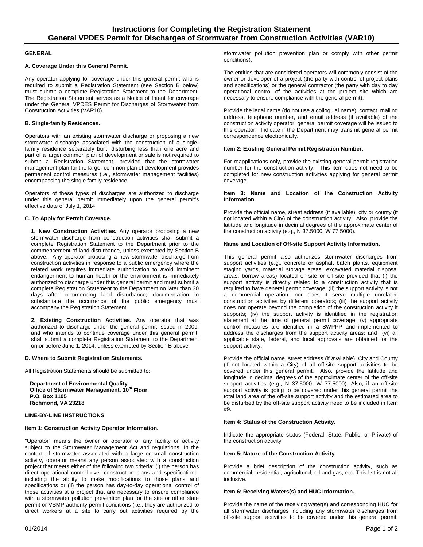# **GENERAL**

# **A. Coverage Under this General Permit.**

Any operator applying for coverage under this general permit who is required to submit a Registration Statement (see Section B below) must submit a complete Registration Statement to the Department. The Registration Statement serves as a Notice of Intent for coverage under the General VPDES Permit for Discharges of Stormwater from Construction Activities (VAR10).

# **B. Single-family Residences.**

Operators with an existing stormwater discharge or proposing a new stormwater discharge associated with the construction of a singlefamily residence separately built, disturbing less than one acre and part of a larger common plan of development or sale is not required to submit a Registration Statement, provided that the stormwater management plan for the larger common plan of development provides permanent control measures (i.e., stormwater management facilities) encompassing the single family residence.

Operators of these types of discharges are authorized to discharge under this general permit immediately upon the general permit's effective date of July 1, 2014.

# **C. To Apply for Permit Coverage.**

**1. New Construction Activities.** Any operator proposing a new stormwater discharge from construction activities shall submit a complete Registration Statement to the Department prior to the commencement of land disturbance, unless exempted by Section B above. Any operator proposing a new stormwater discharge from construction activities in response to a public emergency where the related work requires immediate authorization to avoid imminent endangerment to human health or the environment is immediately authorized to discharge under this general permit and must submit a complete Registration Statement to the Department no later than 30 days after commencing land disturbance; documentation to substantiate the occurrence of the public emergency must accompany the Registration Statement.

**2. Existing Construction Activities.** Any operator that was authorized to discharge under the general permit issued in 2009, and who intends to continue coverage under this general permit, shall submit a complete Registration Statement to the Department on or before June 1, 2014, unless exempted by Section B above.

## **D. Where to Submit Registration Statements.**

All Registration Statements should be submitted to:

**Department of Environmental Quality Office of Stormwater Management, 10<sup>th</sup> Floor P.O. Box 1105 Richmond, VA 23218**

## **LINE-BY-LINE INSTRUCTIONS**

## **Item 1: Construction Activity Operator Information.**

"Operator" means the owner or operator of any facility or activity subject to the Stormwater Management Act and regulations. In the context of stormwater associated with a large or small construction activity, operator means any person associated with a construction project that meets either of the following two criteria: (i) the person has direct operational control over construction plans and specifications, including the ability to make modifications to those plans and specifications or (ii) the person has day-to-day operational control of those activities at a project that are necessary to ensure compliance with a stormwater pollution prevention plan for the site or other state permit or VSMP authority permit conditions (i.e., they are authorized to direct workers at a site to carry out activities required by the stormwater pollution prevention plan or comply with other permit conditions).

The entities that are considered operators will commonly consist of the owner or developer of a project (the party with control of project plans and specifications) or the general contractor (the party with day to day operational control of the activities at the project site which are necessary to ensure compliance with the general permit).

Provide the legal name (do not use a colloquial name), contact, mailing address, telephone number, and email address (if available) of the construction activity operator; general permit coverage will be issued to this operator. Indicate if the Department may transmit general permit correspondence electronically.

## **Item 2: Existing General Permit Registration Number.**

For reapplications only, provide the existing general permit registration number for the construction activity. This item does not need to be completed for new construction activities applying for general permit coverage.

#### **Item 3: Name and Location of the Construction Activity Information.**

Provide the official name, street address (if available), city or county (if not located within a City) of the construction activity. Also, provide the latitude and longitude in decimal degrees of the approximate center of the construction activity (e.g., N 37.5000, W 77.5000).

## **Name and Location of Off-site Support Activity Information.**

This general permit also authorizes stormwater discharges from support activities (e.g., concrete or asphalt batch plants, equipment staging yards, material storage areas, excavated material disposal areas, borrow areas) located on-site or off-site provided that (i) the support activity is directly related to a construction activity that is required to have general permit coverage; (ii) the support activity is not a commercial operation, nor does it serve multiple unrelated construction activities by different operators; (iii) the support activity does not operate beyond the completion of the construction activity it supports; (iv) the support activity is identified in the registration statement at the time of general permit coverage; (v) appropriate control measures are identified in a SWPPP and implemented to address the discharges from the support activity areas; and (vi) all applicable state, federal, and local approvals are obtained for the support activity.

Provide the official name, street address (if available), City and County (if not located within a City) of all off-site support activities to be covered under this general permit. Also, provide the latitude and longitude in decimal degrees of the approximate center of the off-site support activities (e.g., N 37.5000, W 77.5000). Also, if an off-site support activity is going to be covered under this general permit the total land area of the off-site support activity and the estimated area to be disturbed by the off-site support activity need to be included in Item #9.

#### **Item 4: Status of the Construction Activity.**

Indicate the appropriate status (Federal, State, Public, or Private) of the construction activity.

#### **Item 5: Nature of the Construction Activity.**

Provide a brief description of the construction activity, such as commercial, residential, agricultural, oil and gas, etc. This list is not all inclusive.

## **Item 6: Receiving Waters(s) and HUC Information.**

Provide the name of the receiving water(s) and corresponding HUC for all stormwater discharges including any stormwater discharges from off-site support activities to be covered under this general permit.